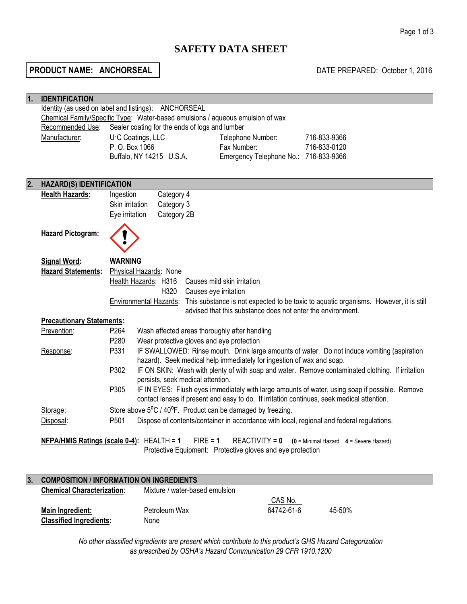# **SAFETY DATA SHEET**

# **PRODUCT NAME: ANCHORSEAL DATE PREPARED:** October 1, 2016

| 1. | <b>IDENTIFICATION</b>                                                                                                          |                                                                                                              |  |  |
|----|--------------------------------------------------------------------------------------------------------------------------------|--------------------------------------------------------------------------------------------------------------|--|--|
|    |                                                                                                                                | Identity (as used on label and listings): ANCHORSEAL                                                         |  |  |
|    |                                                                                                                                | Chemical Family/Specific Type: Water-based emulsions / aqueous emulsion of wax                               |  |  |
|    | Recommended Use:                                                                                                               | Sealer coating for the ends of logs and lumber                                                               |  |  |
|    | Manufacturer:                                                                                                                  | U.C Coatings, LLC<br>Telephone Number:<br>716-833-9366                                                       |  |  |
|    |                                                                                                                                | P. O. Box 1066<br>716-833-0120<br>Fax Number:                                                                |  |  |
|    |                                                                                                                                | Emergency Telephone No.: 716-833-9366<br>Buffalo, NY 14215 U.S.A.                                            |  |  |
|    |                                                                                                                                |                                                                                                              |  |  |
|    |                                                                                                                                |                                                                                                              |  |  |
| 2. | <b>HAZARD(S) IDENTIFICATION</b>                                                                                                |                                                                                                              |  |  |
|    | <b>Health Hazards:</b>                                                                                                         | Category 4<br>Ingestion                                                                                      |  |  |
|    |                                                                                                                                | Skin irritation<br>Category 3                                                                                |  |  |
|    |                                                                                                                                | Eye irritation<br>Category 2B                                                                                |  |  |
|    |                                                                                                                                |                                                                                                              |  |  |
|    | <b>Hazard Pictogram:</b>                                                                                                       |                                                                                                              |  |  |
|    |                                                                                                                                |                                                                                                              |  |  |
|    | <b>Signal Word:</b>                                                                                                            | <b>WARNING</b>                                                                                               |  |  |
|    | <b>Hazard Statements:</b>                                                                                                      | Physical Hazards: None                                                                                       |  |  |
|    |                                                                                                                                |                                                                                                              |  |  |
|    |                                                                                                                                | Health Hazards: H316<br>Causes mild skin irritation                                                          |  |  |
|    |                                                                                                                                | H320<br>Causes eye irritation                                                                                |  |  |
|    |                                                                                                                                | Environmental Hazards: This substance is not expected to be toxic to aquatic organisms. However, it is still |  |  |
|    |                                                                                                                                | advised that this substance does not enter the environment.                                                  |  |  |
|    | <b>Precautionary Statements:</b>                                                                                               |                                                                                                              |  |  |
|    | Prevention:                                                                                                                    | P <sub>264</sub><br>Wash affected areas thoroughly after handling                                            |  |  |
|    |                                                                                                                                | P280<br>Wear protective gloves and eye protection                                                            |  |  |
|    | Response:                                                                                                                      | IF SWALLOWED: Rinse mouth. Drink large amounts of water. Do not induce vomiting (aspiration<br>P331          |  |  |
|    |                                                                                                                                | hazard). Seek medical help immediately for ingestion of wax and soap.                                        |  |  |
|    |                                                                                                                                | P302<br>IF ON SKIN: Wash with plenty of with soap and water. Remove contaminated clothing. If irritation     |  |  |
|    |                                                                                                                                | persists, seek medical attention.                                                                            |  |  |
|    |                                                                                                                                | P305<br>IF IN EYES: Flush eyes immediately with large amounts of water, using soap if possible. Remove       |  |  |
|    |                                                                                                                                | contact lenses if present and easy to do. If irritation continues, seek medical attention.                   |  |  |
|    | Storage:                                                                                                                       | Store above 5°C / 40°F. Product can be damaged by freezing.                                                  |  |  |
|    | Disposal:                                                                                                                      | P501<br>Dispose of contents/container in accordance with local, regional and federal regulations.            |  |  |
|    |                                                                                                                                |                                                                                                              |  |  |
|    | NFPA/HMIS Ratings (scale 0-4): HEALTH = 1<br>$FIRE = 1$<br><b>REACTIVITY = 0</b><br>$(0 =$ Minimal Hazard $4 =$ Severe Hazard) |                                                                                                              |  |  |
|    |                                                                                                                                | Protective Equipment: Protective gloves and eye protection                                                   |  |  |
|    |                                                                                                                                |                                                                                                              |  |  |
|    |                                                                                                                                |                                                                                                              |  |  |
| 3. |                                                                                                                                | <b>COMPOSITION / INFORMATION ON INGREDIENTS</b>                                                              |  |  |

| <b>Chemical Characterization:</b> | Mixture / water-based emulsion |            |            |
|-----------------------------------|--------------------------------|------------|------------|
|                                   |                                | CAS No.    |            |
| Main Ingredient:                  | Petroleum Wax                  | 64742-61-6 | $45 - 50%$ |
| <b>Classified Ingredients:</b>    | None                           |            |            |

*No other classified ingredients are present which contribute to this product's GHS Hazard Categorization as prescribed by OSHA's Hazard Communication 29 CFR 1910.1200*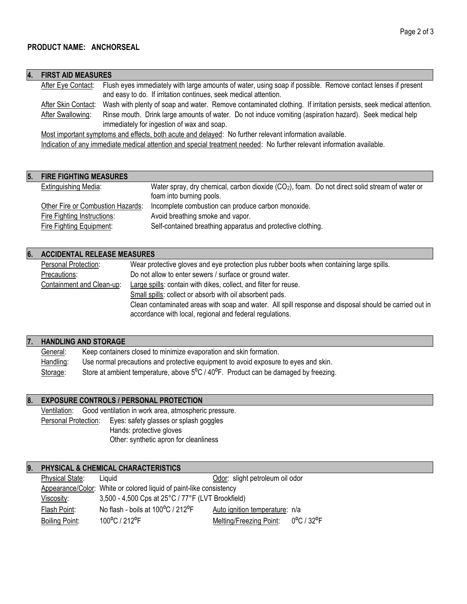| 4. | <b>FIRST AID MEASURES</b>                                                                                              |                                                                                                                   |  |
|----|------------------------------------------------------------------------------------------------------------------------|-------------------------------------------------------------------------------------------------------------------|--|
|    | After Eye Contact:                                                                                                     | Flush eyes immediately with large amounts of water, using soap if possible. Remove contact lenses if present      |  |
|    |                                                                                                                        | and easy to do. If irritation continues, seek medical attention.                                                  |  |
|    | After Skin Contact:                                                                                                    | Wash with plenty of soap and water. Remove contaminated clothing. If irritation persists, seek medical attention. |  |
|    | After Swallowing:                                                                                                      | Rinse mouth. Drink large amounts of water. Do not induce vomiting (aspiration hazard). Seek medical help          |  |
|    |                                                                                                                        | immediately for ingestion of wax and soap.                                                                        |  |
|    | Most important symptoms and effects, both acute and delayed: No further relevant information available.                |                                                                                                                   |  |
|    | Indication of any immediate medical attention and special treatment needed: No further relevant information available. |                                                                                                                   |  |
|    |                                                                                                                        |                                                                                                                   |  |
|    |                                                                                                                        |                                                                                                                   |  |
|    | 5. FIRE FIGHTING MEASURES                                                                                              |                                                                                                                   |  |
|    | <b>Extinguishing Media:</b>                                                                                            | Water spray, dry chemical, carbon dioxide $(CO2)$ , foam. Do not direct solid stream of water or                  |  |

|                                   | foam into burning pools.                                    |
|-----------------------------------|-------------------------------------------------------------|
| Other Fire or Combustion Hazards: | Incomplete combustion can produce carbon monoxide.          |
| Fire Fighting Instructions:       | Avoid breathing smoke and vapor.                            |
| Fire Fighting Equipment:          | Self-contained breathing apparatus and protective clothing. |

# **6. ACCIDENTAL RELEASE MEASURES**

| Personal Protection:      | Wear protective gloves and eye protection plus rubber boots when containing large spills.                                                                          |
|---------------------------|--------------------------------------------------------------------------------------------------------------------------------------------------------------------|
| Precautions:              | Do not allow to enter sewers / surface or ground water.                                                                                                            |
| Containment and Clean-up: | Large spills: contain with dikes, collect, and filter for reuse.                                                                                                   |
|                           | Small spills: collect or absorb with oil absorbent pads.                                                                                                           |
|                           | Clean contaminated areas with soap and water. All spill response and disposal should be carried out in<br>accordance with local, regional and federal regulations. |
|                           |                                                                                                                                                                    |

# **7. HANDLING AND STORAGE**

| General:  | Keep containers closed to minimize evaporation and skin formation.                  |
|-----------|-------------------------------------------------------------------------------------|
| Handling: | Use normal precautions and protective equipment to avoid exposure to eyes and skin. |
| Storage:  | Store at ambient temperature, above 5°C / 40°F. Product can be damaged by freezing. |

# **8. EXPOSURE CONTROLS / PERSONAL PROTECTION**

Ventilation: Good ventilation in work area, atmospheric pressure. Personal Protection: Eyes: safety glasses or splash goggles Hands: protective gloves Other: synthetic apron for cleanliness

# **9. PHYSICAL & CHEMICAL CHARACTERISTICS**

| <b>Physical State:</b> | Liquid                                                              | Odor: slight petroleum oil odor                                   |
|------------------------|---------------------------------------------------------------------|-------------------------------------------------------------------|
|                        | Appearance/Color: White or colored liquid of paint-like consistency |                                                                   |
| Viscosity:             | 3,500 - 4,500 Cps at 25°C / 77°F (LVT Brookfield)                   |                                                                   |
| Flash Point:           | No flash - boils at 100°C / 212°F                                   | Auto ignition temperature: n/a                                    |
| <b>Boiling Point:</b>  | 100°C / 212°F                                                       | $0^{\circ}$ C / 32 $^{\circ}$ F<br><b>Melting/Freezing Point:</b> |